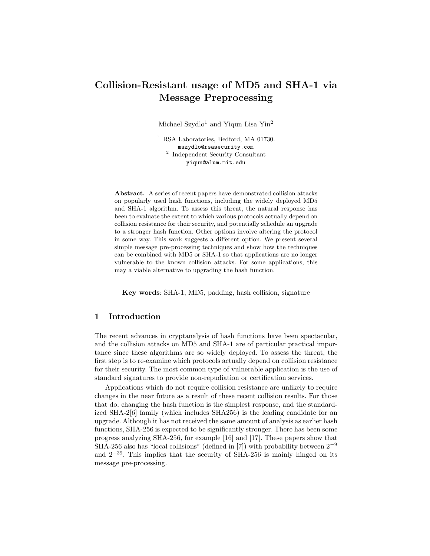# **Collision-Resistant usage of MD5 and SHA-1 via Message Preprocessing**

Michael Szydlo<sup>1</sup> and Yiqun Lisa Yin<sup>2</sup>

 $1$  RSA Laboratories, Bedford, MA 01730. mszydlo@rsasecurity.com <sup>2</sup> Independent Security Consultant yiqun@alum.mit.edu

**Abstract.** A series of recent papers have demonstrated collision attacks on popularly used hash functions, including the widely deployed MD5 and SHA-1 algorithm. To assess this threat, the natural response has been to evaluate the extent to which various protocols actually depend on collision resistance for their security, and potentially schedule an upgrade to a stronger hash function. Other options involve altering the protocol in some way. This work suggests a different option. We present several simple message pre-processing techniques and show how the techniques can be combined with MD5 or SHA-1 so that applications are no longer vulnerable to the known collision attacks. For some applications, this may a viable alternative to upgrading the hash function.

**Key words**: SHA-1, MD5, padding, hash collision, signature

# **1 Introduction**

The recent advances in cryptanalysis of hash functions have been spectacular, and the collision attacks on MD5 and SHA-1 are of particular practical importance since these algorithms are so widely deployed. To assess the threat, the first step is to re-examine which protocols actually depend on collision resistance for their security. The most common type of vulnerable application is the use of standard signatures to provide non-repudiation or certification services.

Applications which do not require collision resistance are unlikely to require changes in the near future as a result of these recent collision results. For those that do, changing the hash function is the simplest response, and the standardized SHA-2[6] family (which includes SHA256) is the leading candidate for an upgrade. Although it has not received the same amount of analysis as earlier hash functions, SHA-256 is expected to be significantly stronger. There has been some progress analyzing SHA-256, for example [16] and [17]. These papers show that SHA-256 also has "local collisions" (defined in [7]) with probability between  $2^{-9}$ and  $2^{-39}$ . This implies that the security of SHA-256 is mainly hinged on its message pre-processing.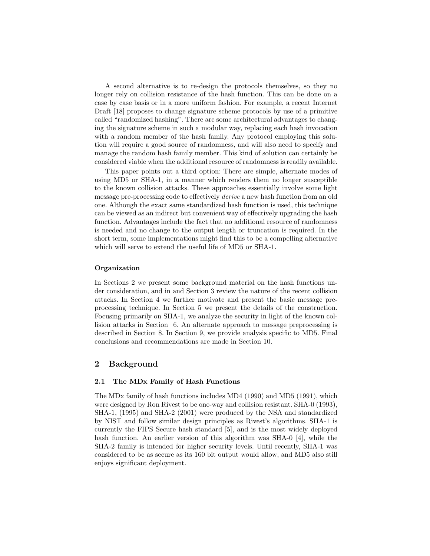A second alternative is to re-design the protocols themselves, so they no longer rely on collision resistance of the hash function. This can be done on a case by case basis or in a more uniform fashion. For example, a recent Internet Draft [18] proposes to change signature scheme protocols by use of a primitive called "randomized hashing". There are some architectural advantages to changing the signature scheme in such a modular way, replacing each hash invocation with a random member of the hash family. Any protocol employing this solution will require a good source of randomness, and will also need to specify and manage the random hash family member. This kind of solution can certainly be considered viable when the additional resource of randomness is readily available.

This paper points out a third option: There are simple, alternate modes of using MD5 or SHA-1, in a manner which renders them no longer susceptible to the known collision attacks. These approaches essentially involve some light message pre-processing code to effectively *derive* a new hash function from an old one. Although the exact same standardized hash function is used, this technique can be viewed as an indirect but convenient way of effectively upgrading the hash function. Advantages include the fact that no additional resource of randomness is needed and no change to the output length or truncation is required. In the short term, some implementations might find this to be a compelling alternative which will serve to extend the useful life of MD5 or SHA-1.

#### **Organization**

In Sections 2 we present some background material on the hash functions under consideration, and in and Section 3 review the nature of the recent collision attacks. In Section 4 we further motivate and present the basic message preprocessing technique. In Section 5 we present the details of the construction. Focusing primarily on SHA-1, we analyze the security in light of the known collision attacks in Section 6. An alternate approach to message preprocessing is described in Section 8. In Section 9, we provide analysis specific to MD5. Final conclusions and recommendations are made in Section 10.

### **2 Background**

### **2.1 The MDx Family of Hash Functions**

The MDx family of hash functions includes MD4 (1990) and MD5 (1991), which were designed by Ron Rivest to be one-way and collision resistant. SHA-0 (1993), SHA-1, (1995) and SHA-2 (2001) were produced by the NSA and standardized by NIST and follow similar design principles as Rivest's algorithms. SHA-1 is currently the FIPS Secure hash standard [5], and is the most widely deployed hash function. An earlier version of this algorithm was SHA-0 [4], while the SHA-2 family is intended for higher security levels. Until recently, SHA-1 was considered to be as secure as its 160 bit output would allow, and MD5 also still enjoys significant deployment.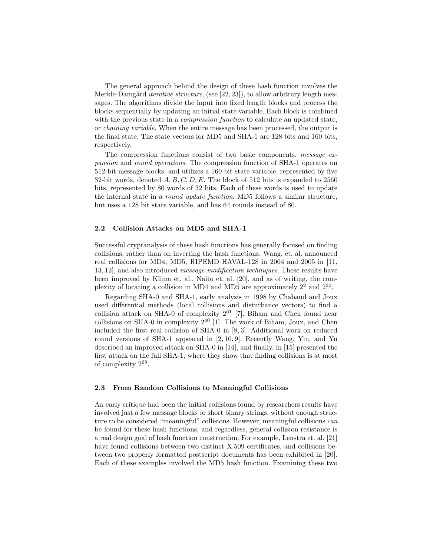The general approach behind the design of these hash function involves the Merkle-Damgård *iterative structure*, (see [22, 23]), to allow arbitrary length messages. The algorithms divide the input into fixed length blocks and process the blocks sequentially by updating an initial state variable. Each block is combined with the previous state in a *compression function* to calculate an updated state, or *chaining variable*. When the entire message has been processed, the output is the final state. The state vectors for MD5 and SHA-1 are 128 bits and 160 bits, respectively.

The compression functions consist of two basic components, *message expansion* and *round operations*. The compression function of SHA-1 operates on 512-bit message blocks, and utilizes a 160 bit state variable, represented by five 32-bit words, denoted *A, B, C, D, E*. The block of 512 bits is expanded to 2560 bits, represented by 80 words of 32 bits. Each of these words is used to update the internal state in a *round update function*. MD5 follows a similar structure, but uses a 128 bit state variable, and has 64 rounds instead of 80.

### **2.2 Collision Attacks on MD5 and SHA-1**

Successful cryptanalysis of these hash functions has generally focused on finding collisions, rather than on inverting the hash functions. Wang, et. al. announced real collisions for MD4, MD5, RIPEMD HAVAL-128 in 2004 and 2005 in [11, 13, 12], and also introduced *message modification techniques*. These results have been improved by Klima et. al., Naito et. al. [20], and as of writing, the complexity of locating a collision in MD4 and MD5 are approximately  $2^2$  and  $2^{30}$ .

Regarding SHA-0 and SHA-1, early analysis in 1998 by Chabaud and Joux used differential methods (local collisions and disturbance vectors) to find a collision attack on SHA-0 of complexity  $2^{61}$  [7]. Biham and Chen found near collisions on SHA-0 in complexity  $2^{40}$  [1]. The work of Biham, Joux, and Chen included the first real collision of SHA-0 in [8, 3]. Additional work on reduced round versions of SHA-1 appeared in [2, 10, 9]. Recently Wang, Yin, and Yu described an improved attack on SHA-0 in [14], and finally, in [15] presented the first attack on the full SHA-1, where they show that finding collisions is at most of complexity 2<sup>69</sup>.

#### **2.3 From Random Collisions to Meaningful Collisions**

An early critique had been the initial collisions found by researchers results have involved just a few message blocks or short binary strings, without enough structure to be considered "meaningful" collisions. However, meaningful collisions *can* be found for these hash functions, and regardless, general collision resistance is a real design goal of hash function construction. For example, Lenstra et. al. [21] have found collisions between two distinct X.509 certificates, and collisions between two properly formatted postscript documents has been exhibited in [20]. Each of these examples involved the MD5 hash function. Examining these two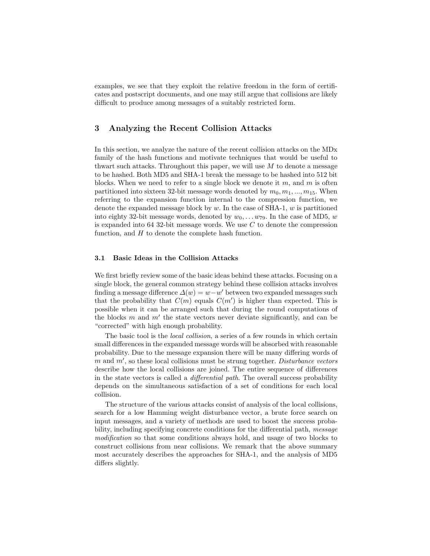examples, we see that they exploit the relative freedom in the form of certificates and postscript documents, and one may still argue that collisions are likely difficult to produce among messages of a suitably restricted form.

## **3 Analyzing the Recent Collision Attacks**

In this section, we analyze the nature of the recent collision attacks on the MDx family of the hash functions and motivate techniques that would be useful to thwart such attacks. Throughout this paper, we will use *M* to denote a message to be hashed. Both MD5 and SHA-1 break the message to be hashed into 512 bit blocks. When we need to refer to a single block we denote it *m*, and *m* is often partitioned into sixteen 32-bit message words denoted by  $m_0, m_1, ..., m_{15}$ . When referring to the expansion function internal to the compression function, we denote the expanded message block by *w*. In the case of SHA-1, *w* is partitioned into eighty 32-bit message words, denoted by  $w_0, \ldots w_{79}$ . In the case of MD5, *w* is expanded into 64 32-bit message words. We use *C* to denote the compression function, and *H* to denote the complete hash function.

### **3.1 Basic Ideas in the Collision Attacks**

We first briefly review some of the basic ideas behind these attacks. Focusing on a single block, the general common strategy behind these collision attacks involves finding a message difference  $\Delta(w) = w - w'$  between two expanded messages such that the probability that  $C(m)$  equals  $C(m')$  is higher than expected. This is possible when it can be arranged such that during the round computations of the blocks  $m$  and  $m'$  the state vectors never deviate significantly, and can be "corrected" with high enough probability.

The basic tool is the *local collision*, a series of a few rounds in which certain small differences in the expanded message words will be absorbed with reasonable probability. Due to the message expansion there will be many differing words of *m* and *m'*, so these local collisions must be strung together. *Disturbance vectors* describe how the local collisions are joined. The entire sequence of differences in the state vectors is called a *differential path*. The overall success probability depends on the simultaneous satisfaction of a set of conditions for each local collision.

The structure of the various attacks consist of analysis of the local collisions, search for a low Hamming weight disturbance vector, a brute force search on input messages, and a variety of methods are used to boost the success probability, including specifying concrete conditions for the differential path, *message modification* so that some conditions always hold, and usage of two blocks to construct collisions from near collisions. We remark that the above summary most accurately describes the approaches for SHA-1, and the analysis of MD5 differs slightly.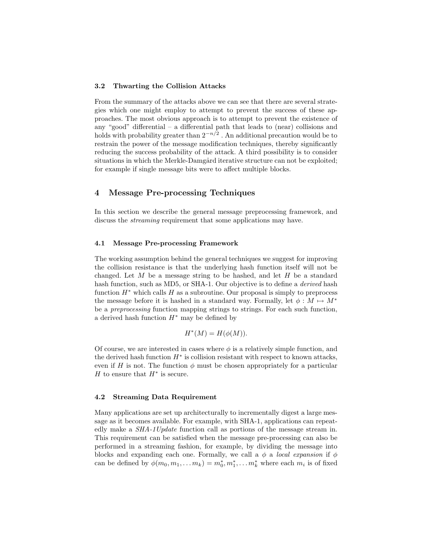#### **3.2 Thwarting the Collision Attacks**

From the summary of the attacks above we can see that there are several strategies which one might employ to attempt to prevent the success of these approaches. The most obvious approach is to attempt to prevent the existence of any "good" differential – a differential path that leads to (near) collisions and holds with probability greater than  $2^{-n/2}$ . An additional precaution would be to restrain the power of the message modification techniques, thereby significantly reducing the success probability of the attack. A third possibility is to consider situations in which the Merkle-Damgård iterative structure can not be exploited; for example if single message bits were to affect multiple blocks.

# **4 Message Pre-processing Techniques**

In this section we describe the general message preprocessing framework, and discuss the *streaming* requirement that some applications may have.

### **4.1 Message Pre-processing Framework**

The working assumption behind the general techniques we suggest for improving the collision resistance is that the underlying hash function itself will not be changed. Let *M* be a message string to be hashed, and let *H* be a standard hash function, such as MD5, or SHA-1. Our objective is to define a *derived* hash function  $H^*$  which calls  $H$  as a subroutine. Our proposal is simply to preprocess the message before it is hashed in a standard way. Formally, let  $\phi : M \mapsto M^*$ be a *preprocessing* function mapping strings to strings. For each such function, a derived hash function *H*<sup>∗</sup> may be defined by

$$
H^*(M) = H(\phi(M)).
$$

Of course, we are interested in cases where  $\phi$  is a relatively simple function, and the derived hash function  $H^*$  is collision resistant with respect to known attacks, even if *H* is not. The function  $\phi$  must be chosen appropriately for a particular *H* to ensure that *H*<sup>∗</sup> is secure.

#### **4.2 Streaming Data Requirement**

Many applications are set up architecturally to incrementally digest a large message as it becomes available. For example, with SHA-1, applications can repeatedly make a *SHA-1Update* function call as portions of the message stream in. This requirement can be satisfied when the message pre-processing can also be performed in a streaming fashion, for example, by dividing the message into blocks and expanding each one. Formally, we call a *φ* a *local expansion* if *φ* can be defined by  $\phi(m_0, m_1, \ldots, m_k) = m_0^*, m_1^*, \ldots, m_k^*$  where each  $m_i$  is of fixed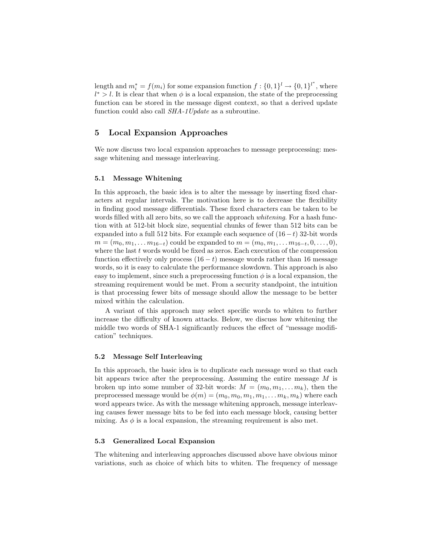length and  $m_i^* = f(m_i)$  for some expansion function  $f: \{0, 1\}^l \to \{0, 1\}^{l^*}$ , where  $l^* > l$ . It is clear that when  $\phi$  is a local expansion, the state of the preprocessing function can be stored in the message digest context, so that a derived update function could also call *SHA-1Update* as a subroutine.

## **5 Local Expansion Approaches**

We now discuss two local expansion approaches to message preprocessing: message whitening and message interleaving.

### **5.1 Message Whitening**

In this approach, the basic idea is to alter the message by inserting fixed characters at regular intervals. The motivation here is to decrease the flexibility in finding good message differentials. These fixed characters can be taken to be words filled with all zero bits, so we call the approach *whitening*. For a hash function with at 512-bit block size, sequential chunks of fewer than 512 bits can be expanded into a full 512 bits. For example each sequence of (16−*t*) 32-bit words  $m = (m_0, m_1, \ldots, m_{16-t})$  could be expanded to  $m = (m_0, m_1, \ldots, m_{16-t}, 0, \ldots, 0)$ , where the last *t* words would be fixed as zeros. Each execution of the compression function effectively only process  $(16 - t)$  message words rather than 16 message words, so it is easy to calculate the performance slowdown. This approach is also easy to implement, since such a preprocessing function  $\phi$  is a local expansion, the streaming requirement would be met. From a security standpoint, the intuition is that processing fewer bits of message should allow the message to be better mixed within the calculation.

A variant of this approach may select specific words to whiten to further increase the difficulty of known attacks. Below, we discuss how whitening the middle two words of SHA-1 significantly reduces the effect of "message modification" techniques.

#### **5.2 Message Self Interleaving**

In this approach, the basic idea is to duplicate each message word so that each bit appears twice after the preprocessing. Assuming the entire message *M* is broken up into some number of 32-bit words:  $M = (m_0, m_1, \ldots, m_k)$ , then the preprocessed message would be  $\phi(m)=(m_0, m_0, m_1, m_1, \ldots, m_k, m_k)$  where each word appears twice. As with the message whitening approach, message interleaving causes fewer message bits to be fed into each message block, causing better mixing. As  $\phi$  is a local expansion, the streaming requirement is also met.

### **5.3 Generalized Local Expansion**

The whitening and interleaving approaches discussed above have obvious minor variations, such as choice of which bits to whiten. The frequency of message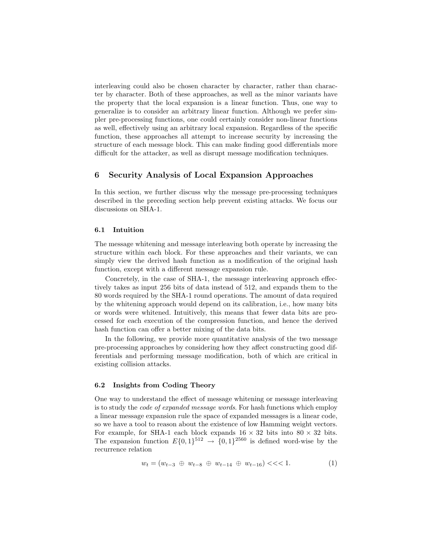interleaving could also be chosen character by character, rather than character by character. Both of these approaches, as well as the minor variants have the property that the local expansion is a linear function. Thus, one way to generalize is to consider an arbitrary linear function. Although we prefer simpler pre-processing functions, one could certainly consider non-linear functions as well, effectively using an arbitrary local expansion. Regardless of the specific function, these approaches all attempt to increase security by increasing the structure of each message block. This can make finding good differentials more difficult for the attacker, as well as disrupt message modification techniques.

## **6 Security Analysis of Local Expansion Approaches**

In this section, we further discuss why the message pre-processing techniques described in the preceding section help prevent existing attacks. We focus our discussions on SHA-1.

### **6.1 Intuition**

The message whitening and message interleaving both operate by increasing the structure within each block. For these approaches and their variants, we can simply view the derived hash function as a modification of the original hash function, except with a different message expansion rule.

Concretely, in the case of SHA-1, the message interleaving approach effectively takes as input 256 bits of data instead of 512, and expands them to the 80 words required by the SHA-1 round operations. The amount of data required by the whitening approach would depend on its calibration, i.e., how many bits or words were whitened. Intuitively, this means that fewer data bits are processed for each execution of the compression function, and hence the derived hash function can offer a better mixing of the data bits.

In the following, we provide more quantitative analysis of the two message pre-processing approaches by considering how they affect constructing good differentials and performing message modification, both of which are critical in existing collision attacks.

### **6.2 Insights from Coding Theory**

One way to understand the effect of message whitening or message interleaving is to study the *code of expanded message words*. For hash functions which employ a linear message expansion rule the space of expanded messages is a linear code, so we have a tool to reason about the existence of low Hamming weight vectors. For example, for SHA-1 each block expands  $16 \times 32$  bits into  $80 \times 32$  bits. The expansion function  $E\{0,1\}^{512} \rightarrow \{0,1\}^{2560}$  is defined word-wise by the recurrence relation

$$
w_t = (w_{t-3} \oplus w_{t-8} \oplus w_{t-14} \oplus w_{t-16}) \lt \lt 1. \tag{1}
$$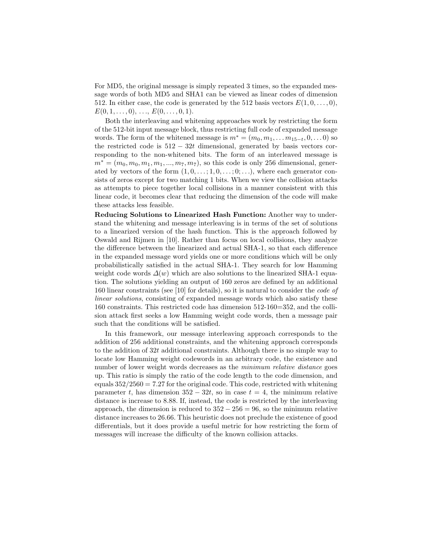For MD5, the original message is simply repeated 3 times, so the expanded message words of both MD5 and SHA1 can be viewed as linear codes of dimension 512. In either case, the code is generated by the 512 basis vectors  $E(1,0,\ldots,0)$ ,  $E(0, 1, \ldots, 0), \ldots, E(0, \ldots, 0, 1).$ 

Both the interleaving and whitening approaches work by restricting the form of the 512-bit input message block, thus restricting full code of expanded message words. The form of the whitened message is  $m^* = (m_0, m_1, \ldots m_{15-t}, 0, \ldots 0)$  so the restricted code is 512 − 32*t* dimensional, generated by basis vectors corresponding to the non-whitened bits. The form of an interleaved message is  $m^* = (m_0, m_0, m_1, m_1, \ldots, m_7, m_7)$ , so this code is only 256 dimensional, generated by vectors of the form  $(1,0,\ldots;1,0,\ldots;0;\ldots)$ , where each generator consists of zeros except for two matching 1 bits. When we view the collision attacks as attempts to piece together local collisions in a manner consistent with this linear code, it becomes clear that reducing the dimension of the code will make these attacks less feasible.

**Reducing Solutions to Linearized Hash Function:** Another way to understand the whitening and message interleaving is in terms of the set of solutions to a linearized version of the hash function. This is the approach followed by Oswald and Rijmen in [10]. Rather than focus on local collisions, they analyze the difference between the linearized and actual SHA-1, so that each difference in the expanded message word yields one or more conditions which will be only probabilistically satisfied in the actual SHA-1. They search for low Hamming weight code words *∆*(*w*) which are also solutions to the linearized SHA-1 equation. The solutions yielding an output of 160 zeros are defined by an additional 160 linear constraints (see [10] for details), so it is natural to consider the *code of linear solutions*, consisting of expanded message words which also satisfy these 160 constraints. This restricted code has dimension 512-160=352, and the collision attack first seeks a low Hamming weight code words, then a message pair such that the conditions will be satisfied.

In this framework, our message interleaving approach corresponds to the addition of 256 additional constraints, and the whitening approach corresponds to the addition of 32*t* additional constraints. Although there is no simple way to locate low Hamming weight codewords in an arbitrary code, the existence and number of lower weight words decreases as the *minimum relative distance* goes up. This ratio is simply the ratio of the code length to the code dimension, and equals 352*/*2560 = 7*.*27 for the original code. This code, restricted with whitening parameter *t*, has dimension  $352 - 32t$ , so in case  $t = 4$ , the minimum relative distance is increase to 8*.*88. If, instead, the code is restricted by the interleaving approach, the dimension is reduced to  $352 - 256 = 96$ , so the minimum relative distance increases to 26*.*66. This heuristic does not preclude the existence of good differentials, but it does provide a useful metric for how restricting the form of messages will increase the difficulty of the known collision attacks.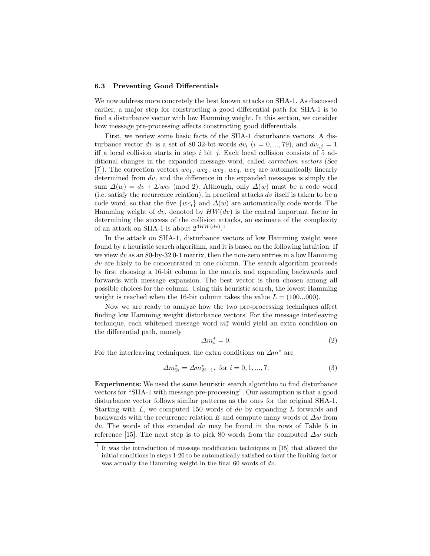#### **6.3 Preventing Good Differentials**

We now address more concretely the best known attacks on SHA-1. As discussed earlier, a major step for constructing a good differential path for SHA-1 is to find a disturbance vector with low Hamming weight. In this section, we consider how message pre-processing affects constructing good differentials.

First, we review some basic facts of the SHA-1 disturbance vectors. A disturbance vector dv is a set of 80 32-bit words  $dv_i$  ( $i = 0, ..., 79$ ), and  $dv_{i,j} = 1$ iff a local collision starts in step *i* bit *j*. Each local collision consists of 5 additional changes in the expanded message word, called *correction vectors* (See [7]). The correction vectors  $wc_1$ ,  $wc_2$ ,  $wc_3$ ,  $wc_4$ ,  $wc_5$  are automatically linearly determined from *dv*, and the difference in the expanded messages is simply the sum  $\Delta(w) = dv + \Sigma w c_i \pmod{2}$ . Although, only  $\Delta(w)$  must be a code word (i.e. satisfy the recurrence relation), in practical attacks *dv* itself is taken to be a code word, so that the five  $\{wc_i\}$  and  $\Delta(w)$  are automatically code words. The Hamming weight of *dv*, denoted by *HW*(*dv*) is the central important factor in determining the success of the collision attacks, an estimate of the complexity of an attack on SHA-1 is about  $2^{3HW(dv)}$ .<sup>1</sup>

In the attack on SHA-1, disturbance vectors of low Hamming weight were found by a heuristic search algorithm, and it is based on the following intuition: If we view *dv* as an 80-by-32 0-1 matrix, then the non-zero entries in a low Hamming dv are likely to be concentrated in one column. The search algorithm proceeds by first choosing a 16-bit column in the matrix and expanding backwards and forwards with message expansion. The best vector is then chosen among all possible choices for the column. Using this heuristic search, the lowest Hamming weight is reached when the 16-bit column takes the value  $L = (100...000)$ .

Now we are ready to analyze how the two pre-processing techniques affect finding low Hamming weight disturbance vectors. For the message interleaving technique, each whitened message word  $m_i^*$  would yield an extra condition on the differential path, namely

$$
\Delta m_i^* = 0. \tag{2}
$$

For the interleaving techniques, the extra conditions on *∆m*<sup>∗</sup> are

$$
\Delta m_{2i}^* = \Delta m_{2i+1}^*, \text{ for } i = 0, 1, ..., 7.
$$
 (3)

**Experiments:** We used the same heuristic search algorithm to find disturbance vectors for "SHA-1 with message pre-processing". Our assumption is that a good disturbance vector follows similar patterns as the ones for the original SHA-1. Starting with *L*, we computed 150 words of *dv* by expanding *L* forwards and backwards with the recurrence relation *E* and compute many words of *∆w* from *dv*. The words of this extended *dv* may be found in the rows of Table 5 in reference [15]. The next step is to pick 80 words from the computed *∆w* such

<sup>&</sup>lt;sup>1</sup> It was the introduction of message modification techniques in [15] that allowed the initial conditions in steps 1-20 to be automatically satisfied so that the limiting factor was actually the Hamming weight in the final  $60$  words of  $dv$ .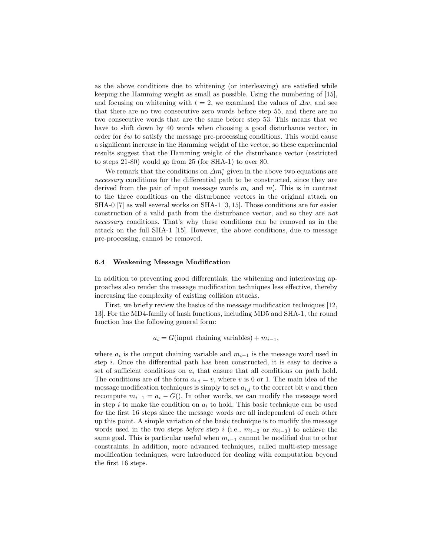as the above conditions due to whitening (or interleaving) are satisfied while keeping the Hamming weight as small as possible. Using the numbering of [15], and focusing on whitening with  $t = 2$ , we examined the values of  $\Delta w$ , and see that there are no two consecutive zero words before step 55, and there are no two consecutive words that are the same before step 53. This means that we have to shift down by 40 words when choosing a good disturbance vector, in order for *δw* to satisfy the message pre-processing conditions. This would cause a significant increase in the Hamming weight of the vector, so these experimental results suggest that the Hamming weight of the disturbance vector (restricted to steps 21-80) would go from 25 (for SHA-1) to over 80.

We remark that the conditions on  $\Delta m_i^*$  given in the above two equations are *necessary* conditions for the differential path to be constructed, since they are derived from the pair of input message words  $m_i$  and  $m'_i$ . This is in contrast to the three conditions on the disturbance vectors in the original attack on SHA-0 [7] as well several works on SHA-1 [3, 15]. Those conditions are for easier construction of a valid path from the disturbance vector, and so they are *not necessary* conditions. That's why these conditions can be removed as in the attack on the full SHA-1 [15]. However, the above conditions, due to message pre-processing, cannot be removed.

#### **6.4 Weakening Message Modification**

In addition to preventing good differentials, the whitening and interleaving approaches also render the message modification techniques less effective, thereby increasing the complexity of existing collision attacks.

First, we briefly review the basics of the message modification techniques [12, 13]. For the MD4-family of hash functions, including MD5 and SHA-1, the round function has the following general form:

 $a_i = G$ (input chaining variables) +  $m_{i-1}$ ,

where  $a_i$  is the output chaining variable and  $m_{i-1}$  is the message word used in step *i*. Once the differential path has been constructed, it is easy to derive a set of sufficient conditions on  $a_i$  that ensure that all conditions on path hold. The conditions are of the form  $a_{i,j} = v$ , where *v* is 0 or 1. The main idea of the message modification techniques is simply to set  $a_{i,j}$  to the correct bit *v* and then recompute  $m_{i-1} = a_i - G(.)$ . In other words, we can modify the message word in step  $i$  to make the condition on  $a_i$  to hold. This basic technique can be used for the first 16 steps since the message words are all independent of each other up this point. A simple variation of the basic technique is to modify the message words used in the two steps *before* step *i* (i.e., *m*i−<sup>2</sup> or *m*i−3) to achieve the same goal. This is particular useful when  $m<sub>i-1</sub>$  cannot be modified due to other constraints. In addition, more advanced techniques, called multi-step message modification techniques, were introduced for dealing with computation beyond the first 16 steps.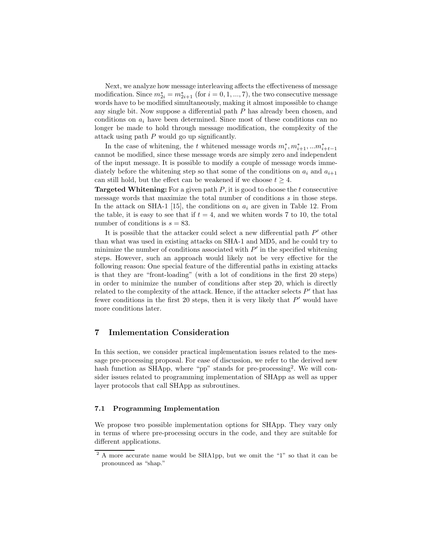Next, we analyze how message interleaving affects the effectiveness of message modification. Since  $m_{2i}^* = m_{2i+1}^*$  (for  $i = 0, 1, ..., 7$ ), the two consecutive message words have to be modified simultaneously, making it almost impossible to change any single bit. Now suppose a differential path *P* has already been chosen, and conditions on  $a_i$  have been determined. Since most of these conditions can no longer be made to hold through message modification, the complexity of the attack using path *P* would go up significantly.

In the case of whitening, the *t* whitened message words  $m_i^*, m_{i+1}^*, ... m_{i+t-1}^*$ cannot be modified, since these message words are simply zero and independent of the input message. It is possible to modify a couple of message words immediately before the whitening step so that some of the conditions on  $a_i$  and  $a_{i+1}$ can still hold, but the effect can be weakened if we choose  $t \geq 4$ .

**Targeted Whitening:** For a given path *P*, it is good to choose the *t* consecutive message words that maximize the total number of conditions *s* in those steps. In the attack on SHA-1 [15], the conditions on  $a_i$  are given in Table 12. From the table, it is easy to see that if  $t = 4$ , and we whiten words 7 to 10, the total number of conditions is  $s = 83$ .

It is possible that the attacker could select a new differential path  $P'$  other than what was used in existing attacks on SHA-1 and MD5, and he could try to minimize the number of conditions associated with  $P'$  in the specified whitening steps. However, such an approach would likely not be very effective for the following reason: One special feature of the differential paths in existing attacks is that they are "front-loading" (with a lot of conditions in the first 20 steps) in order to minimize the number of conditions after step 20, which is directly related to the complexity of the attack. Hence, if the attacker selects  $P'$  that has fewer conditions in the first 20 steps, then it is very likely that  $P'$  would have more conditions later.

### **7 Imlementation Consideration**

In this section, we consider practical implementation issues related to the message pre-processing proposal. For ease of discussion, we refer to the derived new hash function as SHApp, where "pp" stands for pre-processing<sup>2</sup>. We will consider issues related to programming implementation of SHApp as well as upper layer protocols that call SHApp as subroutines.

### **7.1 Programming Implementation**

We propose two possible implementation options for SHApp. They vary only in terms of where pre-processing occurs in the code, and they are suitable for different applications.

<sup>2</sup> A more accurate name would be SHA1pp, but we omit the "1" so that it can be pronounced as "shap."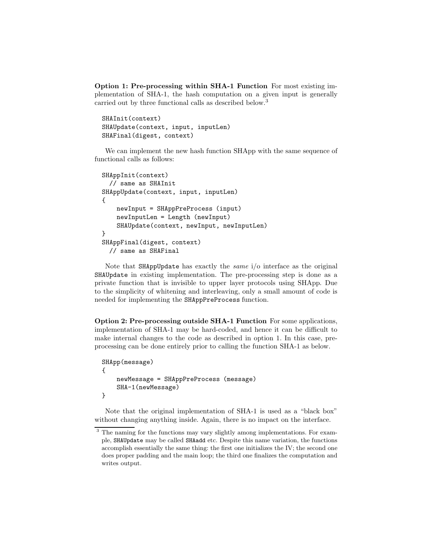**Option 1: Pre-processing within SHA-1 Function** For most existing implementation of SHA-1, the hash computation on a given input is generally carried out by three functional calls as described below.<sup>3</sup>

```
SHAInit(context)
SHAUpdate(context, input, inputLen)
SHAFinal(digest, context)
```
We can implement the new hash function SHApp with the same sequence of functional calls as follows:

```
SHAppInit(context)
  // same as SHAInit
SHAppUpdate(context, input, inputLen)
{
   newInput = SHAppPreProcess (input)
   newInputLen = Length (newInput)
   SHAUpdate(context, newInput, newInputLen)
}
SHAppFinal(digest, context)
  // same as SHAFinal
```
Note that SHAppUpdate has exactly the *same* i/o interface as the original SHAUpdate in existing implementation. The pre-processing step is done as a private function that is invisible to upper layer protocols using SHApp. Due to the simplicity of whitening and interleaving, only a small amount of code is needed for implementing the SHAppPreProcess function.

**Option 2: Pre-processing outside SHA-1 Function** For some applications, implementation of SHA-1 may be hard-coded, and hence it can be difficult to make internal changes to the code as described in option 1. In this case, preprocessing can be done entirely prior to calling the function SHA-1 as below.

```
SHApp(message)
{
    newMessage = SHAppPreProcess (message)
    SHA-1(newMessage)
}
```
Note that the original implementation of SHA-1 is used as a "black box" without changing anything inside. Again, there is no impact on the interface.

<sup>&</sup>lt;sup>3</sup> The naming for the functions may vary slightly among implementations. For example, SHAUpdate may be called SHAadd etc. Despite this name variation, the functions accomplish essentially the same thing: the first one initializes the IV; the second one does proper padding and the main loop; the third one finalizes the computation and writes output.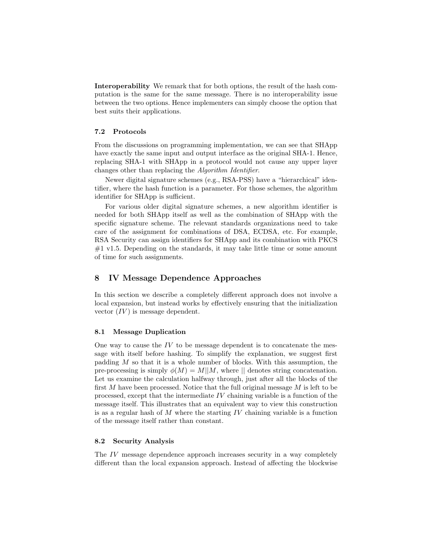**Interoperability** We remark that for both options, the result of the hash computation is the same for the same message. There is no interoperability issue between the two options. Hence implementers can simply choose the option that best suits their applications.

### **7.2 Protocols**

From the discussions on programming implementation, we can see that SHApp have exactly the same input and output interface as the original SHA-1. Hence, replacing SHA-1 with SHApp in a protocol would not cause any upper layer changes other than replacing the *Algorithm Identifier*.

Newer digital signature schemes (e.g., RSA-PSS) have a "hierarchical" identifier, where the hash function is a parameter. For those schemes, the algorithm identifier for SHApp is sufficient.

For various older digital signature schemes, a new algorithm identifier is needed for both SHApp itself as well as the combination of SHApp with the specific signature scheme. The relevant standards organizations need to take care of the assignment for combinations of DSA, ECDSA, etc. For example, RSA Security can assign identifiers for SHApp and its combination with PKCS  $\#1$  v1.5. Depending on the standards, it may take little time or some amount of time for such assignments.

### **8 IV Message Dependence Approaches**

In this section we describe a completely different approach does not involve a local expansion, but instead works by effectively ensuring that the initialization vector  $(IV)$  is message dependent.

### **8.1 Message Duplication**

One way to cause the *IV* to be message dependent is to concatenate the message with itself before hashing. To simplify the explanation, we suggest first padding *M* so that it is a whole number of blocks. With this assumption, the pre-processing is simply  $\phi(M) = M||M$ , where  $||$  denotes string concatenation. Let us examine the calculation halfway through, just after all the blocks of the first *M* have been processed. Notice that the full original message *M* is left to be processed, except that the intermediate *IV* chaining variable is a function of the message itself. This illustrates that an equivalent way to view this construction is as a regular hash of *M* where the starting *IV* chaining variable is a function of the message itself rather than constant.

### **8.2 Security Analysis**

The *IV* message dependence approach increases security in a way completely different than the local expansion approach. Instead of affecting the blockwise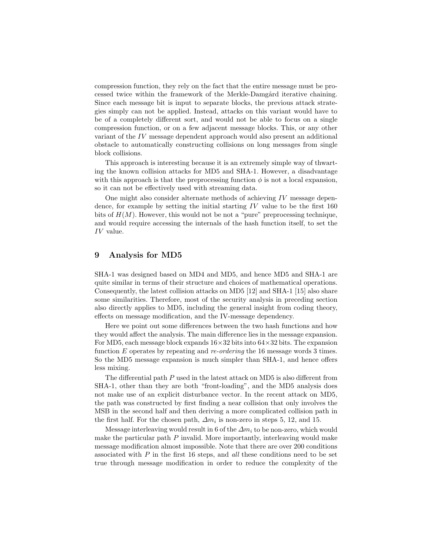compression function, they rely on the fact that the entire message must be processed twice within the framework of the Merkle-Damgård iterative chaining. Since each message bit is input to separate blocks, the previous attack strategies simply can not be applied. Instead, attacks on this variant would have to be of a completely different sort, and would not be able to focus on a single compression function, or on a few adjacent message blocks. This, or any other variant of the *IV* message dependent approach would also present an additional obstacle to automatically constructing collisions on long messages from single block collisions.

This approach is interesting because it is an extremely simple way of thwarting the known collision attacks for MD5 and SHA-1. However, a disadvantage with this approach is that the preprocessing function  $\phi$  is not a local expansion, so it can not be effectively used with streaming data.

One might also consider alternate methods of achieving *IV* message dependence, for example by setting the initial starting *IV* value to be the first 160 bits of  $H(M)$ . However, this would not be not a "pure" preprocessing technique, and would require accessing the internals of the hash function itself, to set the *IV* value.

### **9 Analysis for MD5**

SHA-1 was designed based on MD4 and MD5, and hence MD5 and SHA-1 are quite similar in terms of their structure and choices of mathematical operations. Consequently, the latest collision attacks on MD5 [12] and SHA-1 [15] also share some similarities. Therefore, most of the security analysis in preceding section also directly applies to MD5, including the general insight from coding theory, effects on message modification, and the IV-message dependency.

Here we point out some differences between the two hash functions and how they would affect the analysis. The main difference lies in the message expansion. For MD5, each message block expands  $16\times32$  bits into  $64\times32$  bits. The expansion function *E* operates by repeating and *re-ordering* the 16 message words 3 times. So the MD5 message expansion is much simpler than SHA-1, and hence offers less mixing.

The differential path *P* used in the latest attack on MD5 is also different from SHA-1, other than they are both "front-loading", and the MD5 analysis does not make use of an explicit disturbance vector. In the recent attack on MD5, the path was constructed by first finding a near collision that only involves the MSB in the second half and then deriving a more complicated collision path in the first half. For the chosen path,  $\Delta m_i$  is non-zero in steps 5, 12, and 15.

Message interleaving would result in 6 of the  $\Delta m_i$  to be non-zero, which would make the particular path *P* invalid. More importantly, interleaving would make message modification almost impossible. Note that there are over 200 conditions associated with *P* in the first 16 steps, and *all* these conditions need to be set true through message modification in order to reduce the complexity of the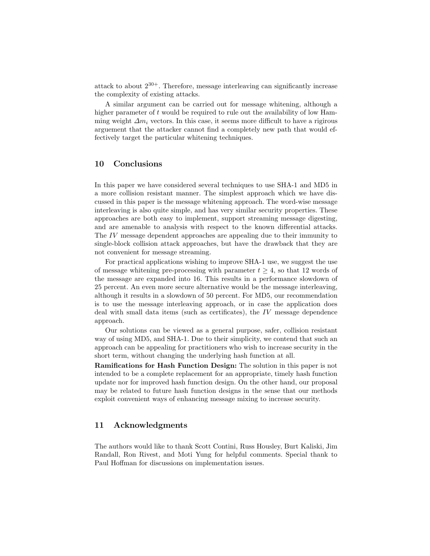attack to about  $2^{30+}$ . Therefore, message interleaving can significantly increase the complexity of existing attacks.

A similar argument can be carried out for message whitening, although a higher parameter of *t* would be required to rule out the availability of low Hamming weight  $\Delta m_i$  vectors. In this case, it seems more difficult to have a rigirous arguement that the attacker cannot find a completely new path that would effectively target the particular whitening techniques.

# **10 Conclusions**

In this paper we have considered several techniques to use SHA-1 and MD5 in a more collision resistant manner. The simplest approach which we have discussed in this paper is the message whitening approach. The word-wise message interleaving is also quite simple, and has very similar security properties. These approaches are both easy to implement, support streaming message digesting, and are amenable to analysis with respect to the known differential attacks. The *IV* message dependent approaches are appealing due to their immunity to single-block collision attack approaches, but have the drawback that they are not convenient for message streaming.

For practical applications wishing to improve SHA-1 use, we suggest the use of message whitening pre-processing with parameter  $t \geq 4$ , so that 12 words of the message are expanded into 16. This results in a performance slowdown of 25 percent. An even more secure alternative would be the message interleaving, although it results in a slowdown of 50 percent. For MD5, our recommendation is to use the message interleaving approach, or in case the application does deal with small data items (such as certificates), the *IV* message dependence approach.

Our solutions can be viewed as a general purpose, safer, collision resistant way of using MD5, and SHA-1. Due to their simplicity, we contend that such an approach can be appealing for practitioners who wish to increase security in the short term, without changing the underlying hash function at all.

**Ramifications for Hash Function Design:** The solution in this paper is not intended to be a complete replacement for an appropriate, timely hash function update nor for improved hash function design. On the other hand, our proposal may be related to future hash function designs in the sense that our methods exploit convenient ways of enhancing message mixing to increase security.

# **11 Acknowledgments**

The authors would like to thank Scott Contini, Russ Housley, Burt Kaliski, Jim Randall, Ron Rivest, and Moti Yung for helpful comments. Special thank to Paul Hoffman for discussions on implementation issues.